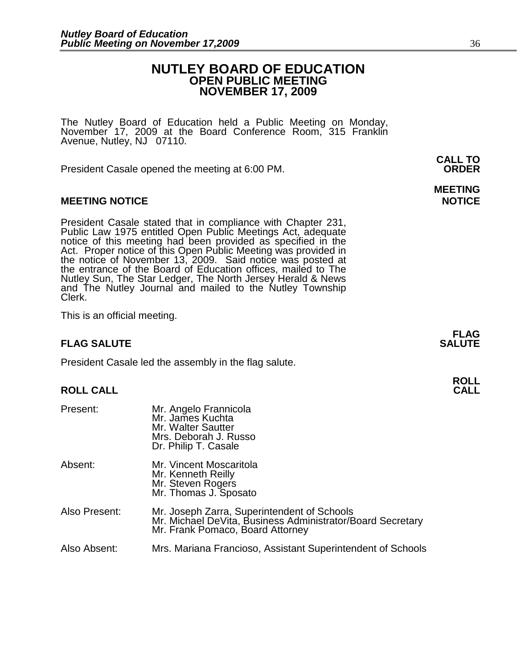## **NUTLEY BOARD OF EDUCATION OPEN PUBLIC MEETING NOVEMBER 17, 2009**

The Nutley Board of Education held a Public Meeting on Monday, November 17, 2009 at the Board Conference Room, 315 Franklin Avenue, Nutley, NJ 07110.

President Casale opened the meeting at 6:00 PM. **ORDER**

### **MEETING NOTICE NOTICE REPORTS AND ALCOHOL**

President Casale stated that in compliance with Chapter 231, Public Law 1975 entitled Open Public Meetings Act, adequate notice of this meeting had been provided as specified in the Act. Proper notice of this Open Public Meeting was provided in the notice of November 13, 2009. Said notice was posted at the entrance of the Board of Education offices, mailed to The Nutley Sun, The Star Ledger, The North Jersey Herald & News and The Nutley Journal and mailed to the Nutley Township Clerk.

This is an official meeting.

### **FLAG SALUTE** SALUTE

President Casale led the assembly in the flag salute.

### **ROLL CALL**

| Present:      | Mr. Angelo Frannicola<br>Mr. James Kuchta<br>Mr. Walter Sautter<br>Mrs. Deborah J. Russo<br>Dr. Philip T. Casale                              |
|---------------|-----------------------------------------------------------------------------------------------------------------------------------------------|
| Absent:       | Mr. Vincent Moscaritola<br>Mr. Kenneth Reilly<br>Mr. Steven Rogers<br>Mr. Thomas J. Sposato                                                   |
| Also Present: | Mr. Joseph Zarra, Superintendent of Schools<br>Mr. Michael DeVita, Business Administrator/Board Secretary<br>Mr. Frank Pomaco, Board Attorney |
| Also Absent:  | Mrs. Mariana Francioso, Assistant Superintendent of Schools                                                                                   |

**CALL TO** 

# **MEETING**

**FLAG** 

**ROLL**